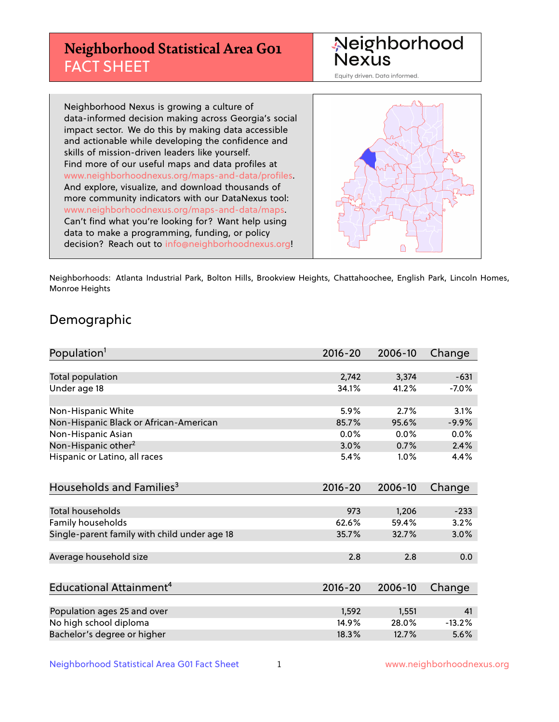# **Neighborhood Statistical Area G01** FACT SHEET



Equity driven. Data informed.

Neighborhood Nexus is growing a culture of data-informed decision making across Georgia's social impact sector. We do this by making data accessible and actionable while developing the confidence and skills of mission-driven leaders like yourself. Find more of our useful maps and data profiles at www.neighborhoodnexus.org/maps-and-data/profiles. And explore, visualize, and download thousands of more community indicators with our DataNexus tool: www.neighborhoodnexus.org/maps-and-data/maps. Can't find what you're looking for? Want help using data to make a programming, funding, or policy decision? Reach out to [info@neighborhoodnexus.org!](mailto:info@neighborhoodnexus.org)



Neighborhoods: Atlanta Industrial Park, Bolton Hills, Brookview Heights, Chattahoochee, English Park, Lincoln Homes, Monroe Heights

### Demographic

| Population <sup>1</sup>                      | $2016 - 20$ | 2006-10 | Change   |
|----------------------------------------------|-------------|---------|----------|
|                                              |             |         |          |
| Total population                             | 2,742       | 3,374   | $-631$   |
| Under age 18                                 | 34.1%       | 41.2%   | $-7.0\%$ |
|                                              |             |         |          |
| Non-Hispanic White                           | 5.9%        | 2.7%    | 3.1%     |
| Non-Hispanic Black or African-American       | 85.7%       | 95.6%   | $-9.9%$  |
| Non-Hispanic Asian                           | 0.0%        | 0.0%    | 0.0%     |
| Non-Hispanic other <sup>2</sup>              | 3.0%        | 0.7%    | 2.4%     |
| Hispanic or Latino, all races                | 5.4%        | 1.0%    | 4.4%     |
|                                              |             |         |          |
| Households and Families <sup>3</sup>         | $2016 - 20$ | 2006-10 | Change   |
|                                              |             |         |          |
| <b>Total households</b>                      | 973         | 1,206   | $-233$   |
| Family households                            | 62.6%       | 59.4%   | 3.2%     |
| Single-parent family with child under age 18 | 35.7%       | 32.7%   | $3.0\%$  |
|                                              |             |         |          |
| Average household size                       | 2.8         | 2.8     | 0.0      |
|                                              |             |         |          |
| Educational Attainment <sup>4</sup>          | 2016-20     | 2006-10 | Change   |
|                                              |             |         |          |
| Population ages 25 and over                  | 1,592       | 1,551   | 41       |
| No high school diploma                       | 14.9%       | 28.0%   | $-13.2%$ |
| Bachelor's degree or higher                  | 18.3%       | 12.7%   | 5.6%     |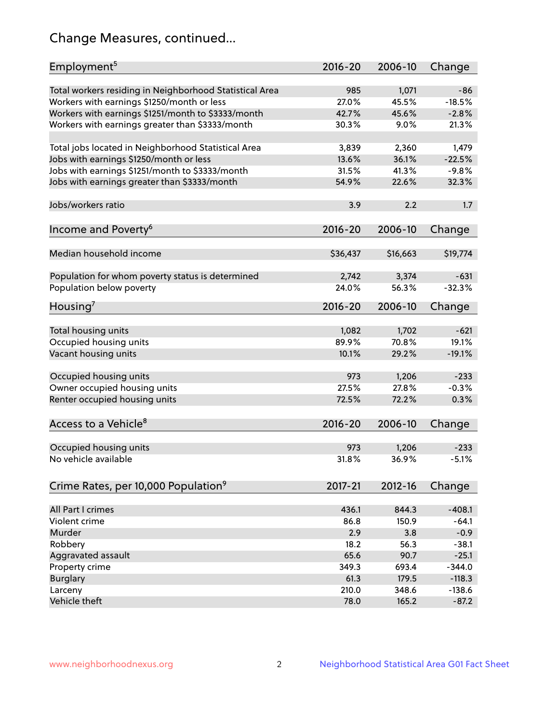# Change Measures, continued...

| Employment <sup>5</sup>                                 | $2016 - 20$  | 2006-10        | Change            |
|---------------------------------------------------------|--------------|----------------|-------------------|
|                                                         |              |                |                   |
| Total workers residing in Neighborhood Statistical Area | 985<br>27.0% | 1,071<br>45.5% | $-86$<br>$-18.5%$ |
| Workers with earnings \$1250/month or less              | 42.7%        | 45.6%          | $-2.8%$           |
| Workers with earnings \$1251/month to \$3333/month      | 30.3%        | 9.0%           | 21.3%             |
| Workers with earnings greater than \$3333/month         |              |                |                   |
| Total jobs located in Neighborhood Statistical Area     | 3,839        | 2,360          | 1,479             |
| Jobs with earnings \$1250/month or less                 | 13.6%        | 36.1%          | $-22.5%$          |
| Jobs with earnings \$1251/month to \$3333/month         | 31.5%        | 41.3%          | $-9.8%$           |
| Jobs with earnings greater than \$3333/month            | 54.9%        | 22.6%          | 32.3%             |
|                                                         |              |                |                   |
| Jobs/workers ratio                                      | 3.9          | 2.2            | 1.7               |
|                                                         |              |                |                   |
| Income and Poverty <sup>6</sup>                         | 2016-20      | 2006-10        | Change            |
|                                                         |              |                |                   |
| Median household income                                 | \$36,437     | \$16,663       | \$19,774          |
|                                                         |              |                |                   |
| Population for whom poverty status is determined        | 2,742        | 3,374          | $-631$            |
| Population below poverty                                | 24.0%        | 56.3%          | $-32.3%$          |
|                                                         |              |                |                   |
| Housing <sup>7</sup>                                    | 2016-20      | 2006-10        | Change            |
|                                                         |              |                |                   |
| Total housing units                                     | 1,082        | 1,702          | $-621$            |
| Occupied housing units                                  | 89.9%        | 70.8%          | 19.1%             |
| Vacant housing units                                    | 10.1%        | 29.2%          | $-19.1%$          |
|                                                         |              |                |                   |
| Occupied housing units                                  | 973          | 1,206          | $-233$            |
| Owner occupied housing units                            | 27.5%        | 27.8%          | $-0.3%$           |
| Renter occupied housing units                           | 72.5%        | 72.2%          | 0.3%              |
|                                                         |              |                |                   |
| Access to a Vehicle <sup>8</sup>                        | $2016 - 20$  | 2006-10        | Change            |
|                                                         |              |                |                   |
| Occupied housing units                                  | 973          | 1,206          | $-233$            |
| No vehicle available                                    | 31.8%        | 36.9%          | $-5.1%$           |
|                                                         |              |                |                   |
| Crime Rates, per 10,000 Population <sup>9</sup>         | 2017-21      | 2012-16        | Change            |
|                                                         |              |                |                   |
| All Part I crimes                                       | 436.1        | 844.3          | $-408.1$          |
| Violent crime                                           | 86.8         | 150.9          | $-64.1$           |
| Murder                                                  | 2.9          | 3.8            | $-0.9$            |
| Robbery                                                 | 18.2         | 56.3           | $-38.1$           |
| Aggravated assault                                      | 65.6         | 90.7           | $-25.1$           |
| Property crime                                          | 349.3        | 693.4          | $-344.0$          |
| <b>Burglary</b>                                         | 61.3         | 179.5          | $-118.3$          |
| Larceny                                                 | 210.0        | 348.6          | $-138.6$          |
| Vehicle theft                                           | 78.0         | 165.2          | $-87.2$           |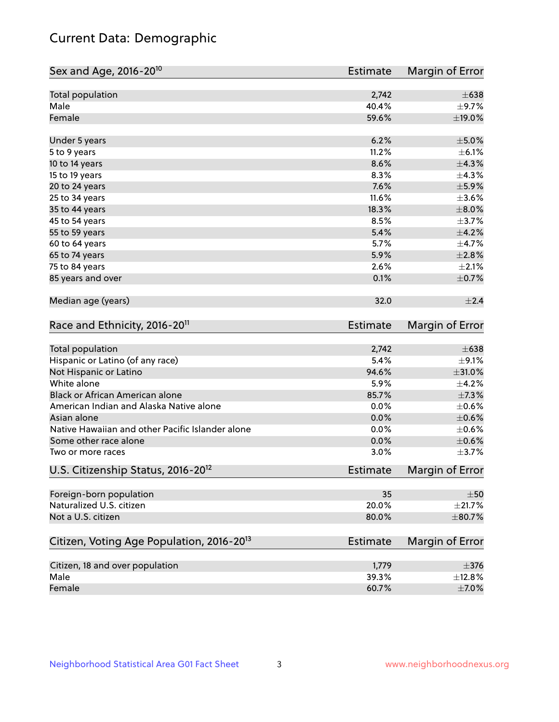# Current Data: Demographic

| Sex and Age, 2016-20 <sup>10</sup>                    | <b>Estimate</b> | Margin of Error |
|-------------------------------------------------------|-----------------|-----------------|
| Total population                                      | 2,742           | $\pm 638$       |
| Male                                                  | 40.4%           | $\pm$ 9.7%      |
| Female                                                | 59.6%           | $\pm$ 19.0%     |
| Under 5 years                                         | 6.2%            | $\pm$ 5.0%      |
| 5 to 9 years                                          | 11.2%           | $\pm$ 6.1%      |
| 10 to 14 years                                        | 8.6%            | ±4.3%           |
| 15 to 19 years                                        | 8.3%            | $\pm$ 4.3%      |
| 20 to 24 years                                        | 7.6%            | $\pm$ 5.9%      |
| 25 to 34 years                                        | 11.6%           | $\pm 3.6\%$     |
| 35 to 44 years                                        | 18.3%           | $\pm$ 8.0%      |
| 45 to 54 years                                        | 8.5%            | $\pm$ 3.7%      |
| 55 to 59 years                                        | 5.4%            | $\pm 4.2\%$     |
| 60 to 64 years                                        | 5.7%            | $\pm$ 4.7%      |
| 65 to 74 years                                        | 5.9%            | $\pm 2.8\%$     |
| 75 to 84 years                                        | 2.6%            | $\pm 2.1\%$     |
| 85 years and over                                     | 0.1%            | $\pm$ 0.7%      |
| Median age (years)                                    | 32.0            | ±2.4            |
| Race and Ethnicity, 2016-20 <sup>11</sup>             | <b>Estimate</b> | Margin of Error |
| Total population                                      | 2,742           | $\pm 638$       |
| Hispanic or Latino (of any race)                      | 5.4%            | $\pm$ 9.1%      |
| Not Hispanic or Latino                                | 94.6%           | $\pm 31.0\%$    |
| White alone                                           | 5.9%            | $\pm$ 4.2%      |
| Black or African American alone                       | 85.7%           | $\pm$ 7.3%      |
| American Indian and Alaska Native alone               | 0.0%            | $\pm$ 0.6%      |
| Asian alone                                           | 0.0%            | $\pm$ 0.6%      |
| Native Hawaiian and other Pacific Islander alone      | 0.0%            | $\pm$ 0.6%      |
| Some other race alone                                 | 0.0%            | $\pm$ 0.6%      |
| Two or more races                                     | 3.0%            | $\pm$ 3.7%      |
| U.S. Citizenship Status, 2016-20 <sup>12</sup>        | <b>Estimate</b> | Margin of Error |
| Foreign-born population                               | 35              | $\pm 50$        |
| Naturalized U.S. citizen                              | 20.0%           | ±21.7%          |
| Not a U.S. citizen                                    | 80.0%           | $\pm$ 80.7%     |
| Citizen, Voting Age Population, 2016-20 <sup>13</sup> | Estimate        | Margin of Error |
| Citizen, 18 and over population                       | 1,779           | $\pm 376$       |
| Male                                                  | 39.3%           | $\pm$ 12.8%     |
| Female                                                | 60.7%           | $\pm$ 7.0%      |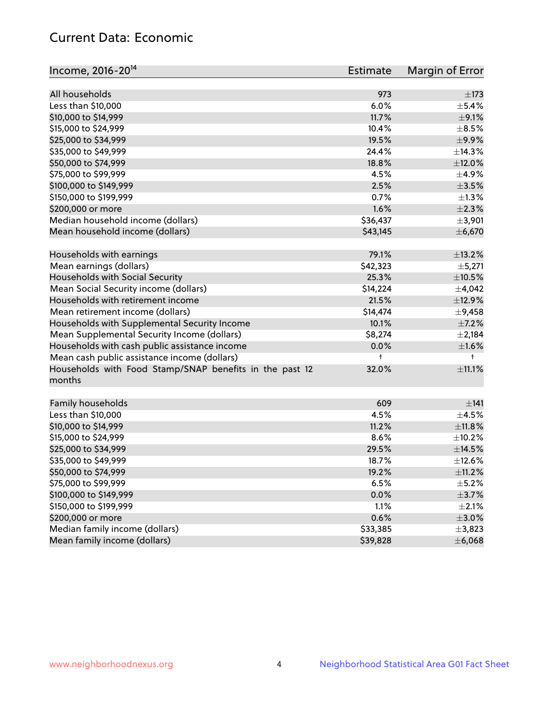# Current Data: Economic

| Income, 2016-20 <sup>14</sup>                           | Estimate             | Margin of Error |
|---------------------------------------------------------|----------------------|-----------------|
|                                                         |                      |                 |
| All households                                          | 973                  | $\pm$ 173       |
| Less than \$10,000                                      | 6.0%                 | $\pm$ 5.4%      |
| \$10,000 to \$14,999                                    | 11.7%                | $\pm$ 9.1%      |
| \$15,000 to \$24,999                                    | 10.4%                | $\pm$ 8.5%      |
| \$25,000 to \$34,999                                    | 19.5%                | $\pm$ 9.9%      |
| \$35,000 to \$49,999                                    | 24.4%                | ±14.3%          |
| \$50,000 to \$74,999                                    | 18.8%                | $\pm$ 12.0%     |
| \$75,000 to \$99,999                                    | 4.5%                 | $\pm$ 4.9%      |
| \$100,000 to \$149,999                                  | 2.5%                 | $\pm$ 3.5%      |
| \$150,000 to \$199,999                                  | 0.7%                 | $\pm 1.3\%$     |
| \$200,000 or more                                       | 1.6%                 | $\pm 2.3\%$     |
| Median household income (dollars)                       | \$36,437             | ±3,901          |
| Mean household income (dollars)                         | \$43,145             | ±6,670          |
| Households with earnings                                | 79.1%                | ±13.2%          |
| Mean earnings (dollars)                                 | \$42,323             | ±5,271          |
| Households with Social Security                         | 25.3%                | $\pm 10.5\%$    |
| Mean Social Security income (dollars)                   | \$14,224             | $\pm$ 4,042     |
| Households with retirement income                       | 21.5%                | ±12.9%          |
| Mean retirement income (dollars)                        | \$14,474             | $\pm$ 9,458     |
| Households with Supplemental Security Income            | 10.1%                | $\pm$ 7.2%      |
| Mean Supplemental Security Income (dollars)             | \$8,274              | $\pm 2,184$     |
| Households with cash public assistance income           | 0.0%                 | $\pm1.6\%$      |
| Mean cash public assistance income (dollars)            | $\ddagger$           | $^+$            |
| Households with Food Stamp/SNAP benefits in the past 12 | 32.0%                | $\pm 11.1\%$    |
| months                                                  |                      |                 |
| Family households                                       | 609                  | ±141            |
| Less than \$10,000                                      | 4.5%                 | $\pm 4.5\%$     |
| \$10,000 to \$14,999                                    | 11.2%                | ±11.8%          |
| \$15,000 to \$24,999                                    | 8.6%                 | $\pm$ 10.2%     |
| \$25,000 to \$34,999                                    | 29.5%                | $\pm$ 14.5%     |
| \$35,000 to \$49,999                                    | 18.7%                | ±12.6%          |
| \$50,000 to \$74,999                                    | 19.2%                | $\pm$ 11.2%     |
| \$75,000 to \$99,999                                    | 6.5%                 | $\pm$ 5.2%      |
| \$100,000 to \$149,999                                  | 0.0%                 | $\pm$ 3.7%      |
| \$150,000 to \$199,999                                  | 1.1%                 | $\pm 2.1\%$     |
| \$200,000 or more                                       |                      | $\pm 3.0\%$     |
| Median family income (dollars)                          | 0.6%                 |                 |
| Mean family income (dollars)                            | \$33,385<br>\$39,828 | ±3,823          |
|                                                         |                      | ±6,068          |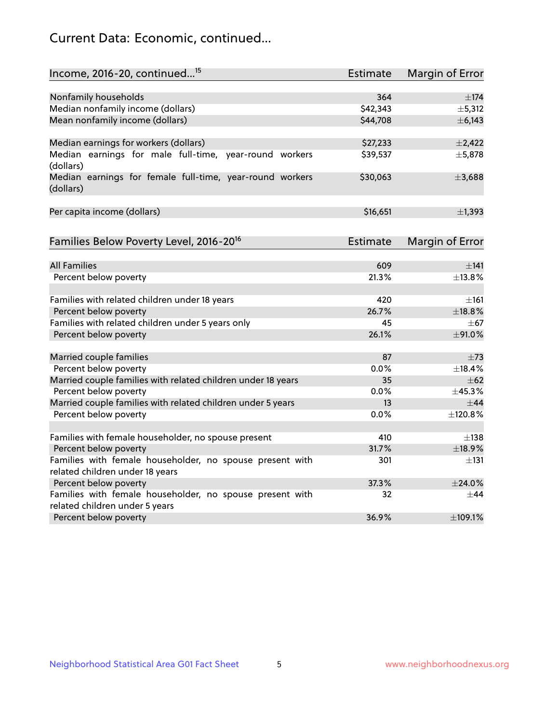# Current Data: Economic, continued...

| Income, 2016-20, continued <sup>15</sup>                                                   | <b>Estimate</b> | <b>Margin of Error</b> |
|--------------------------------------------------------------------------------------------|-----------------|------------------------|
|                                                                                            |                 |                        |
| Nonfamily households                                                                       | 364             | $\pm$ 174              |
| Median nonfamily income (dollars)                                                          | \$42,343        | ±5,312                 |
| Mean nonfamily income (dollars)                                                            | \$44,708        | ± 6,143                |
| Median earnings for workers (dollars)                                                      | \$27,233        | $\pm$ 2,422            |
| Median earnings for male full-time, year-round workers                                     | \$39,537        | ±5,878                 |
| (dollars)                                                                                  |                 |                        |
| Median earnings for female full-time, year-round workers<br>(dollars)                      | \$30,063        | ±3,688                 |
| Per capita income (dollars)                                                                | \$16,651        | $\pm$ 1,393            |
|                                                                                            |                 |                        |
| Families Below Poverty Level, 2016-20 <sup>16</sup>                                        | <b>Estimate</b> | <b>Margin of Error</b> |
| <b>All Families</b>                                                                        | 609             | $\pm$ 141              |
| Percent below poverty                                                                      | 21.3%           | $+13.8%$               |
|                                                                                            |                 |                        |
| Families with related children under 18 years                                              | 420             | $\pm 161$              |
| Percent below poverty                                                                      | 26.7%           | ±18.8%                 |
| Families with related children under 5 years only                                          | 45              | $\pm$ 67               |
| Percent below poverty                                                                      | 26.1%           | ±91.0%                 |
| Married couple families                                                                    | 87              | $\pm 73$               |
| Percent below poverty                                                                      | 0.0%            | ±18.4%                 |
| Married couple families with related children under 18 years                               | 35              | $\pm$ 62               |
| Percent below poverty                                                                      | $0.0\%$         | $\pm$ 45.3%            |
| Married couple families with related children under 5 years                                | 13              | ±44                    |
| Percent below poverty                                                                      | $0.0\%$         | ±120.8%                |
|                                                                                            |                 |                        |
| Families with female householder, no spouse present                                        | 410             | $\pm$ 138              |
| Percent below poverty                                                                      | 31.7%           | ±18.9%                 |
| Families with female householder, no spouse present with                                   | 301             | ±131                   |
| related children under 18 years                                                            |                 |                        |
| Percent below poverty                                                                      | 37.3%           | ±24.0%                 |
| Families with female householder, no spouse present with<br>related children under 5 years | 32              | $\pm$ 44               |
| Percent below poverty                                                                      | 36.9%           | ±109.1%                |
|                                                                                            |                 |                        |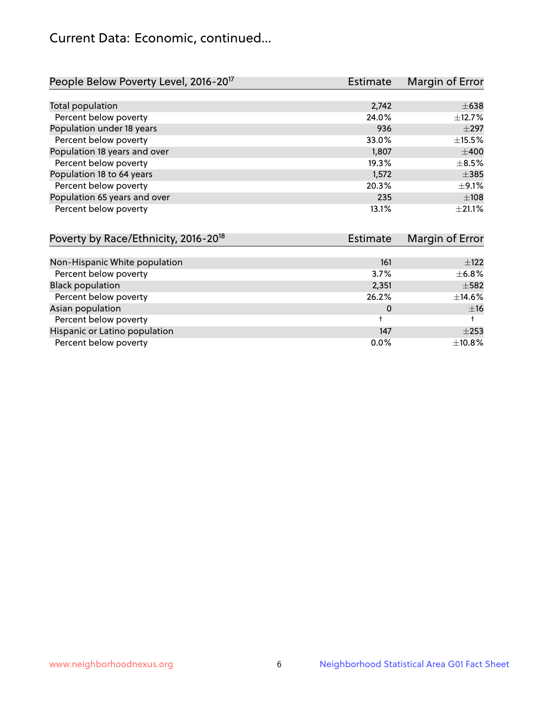# Current Data: Economic, continued...

| People Below Poverty Level, 2016-20 <sup>17</sup> | <b>Estimate</b> | Margin of Error |
|---------------------------------------------------|-----------------|-----------------|
|                                                   |                 |                 |
| Total population                                  | 2,742           | $\pm 638$       |
| Percent below poverty                             | 24.0%           | $\pm$ 12.7%     |
| Population under 18 years                         | 936             | $\pm 297$       |
| Percent below poverty                             | 33.0%           | ±15.5%          |
| Population 18 years and over                      | 1,807           | $\pm 400$       |
| Percent below poverty                             | 19.3%           | $\pm$ 8.5%      |
| Population 18 to 64 years                         | 1,572           | $\pm$ 385       |
| Percent below poverty                             | 20.3%           | $+9.1%$         |
| Population 65 years and over                      | 235             | ±108            |
| Percent below poverty                             | 13.1%           | $+21.1%$        |

| Poverty by Race/Ethnicity, 2016-20 <sup>18</sup> | <b>Estimate</b> | Margin of Error |
|--------------------------------------------------|-----------------|-----------------|
|                                                  |                 |                 |
| Non-Hispanic White population                    | 161             | $\pm$ 122       |
| Percent below poverty                            | 3.7%            | $\pm$ 6.8%      |
| <b>Black population</b>                          | 2,351           | $\pm$ 582       |
| Percent below poverty                            | 26.2%           | $\pm$ 14.6%     |
| Asian population                                 | 0               | ±16             |
| Percent below poverty                            |                 |                 |
| Hispanic or Latino population                    | 147             | $\pm 253$       |
| Percent below poverty                            | 0.0%            | $\pm$ 10.8%     |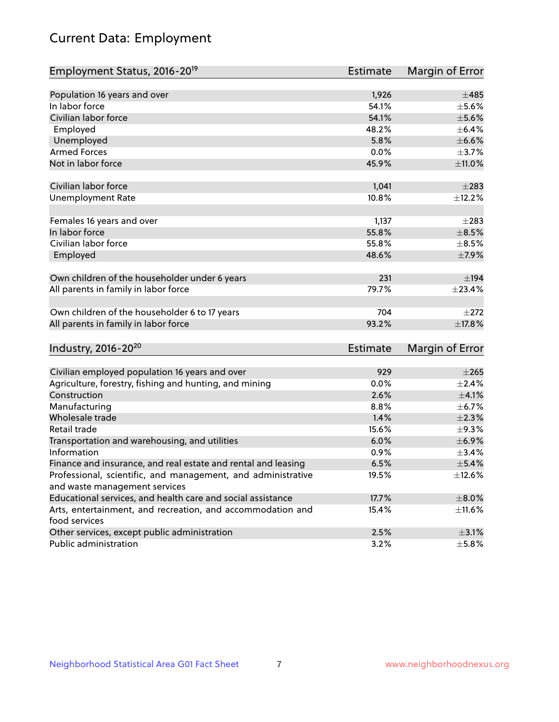# Current Data: Employment

| Employment Status, 2016-20 <sup>19</sup>                      | <b>Estimate</b> | Margin of Error |
|---------------------------------------------------------------|-----------------|-----------------|
|                                                               |                 |                 |
| Population 16 years and over                                  | 1,926           | ±485            |
| In labor force                                                | 54.1%           | $\pm$ 5.6%      |
| Civilian labor force                                          | 54.1%           | $\pm$ 5.6%      |
| Employed                                                      | 48.2%           | $\pm$ 6.4%      |
| Unemployed                                                    | 5.8%            | $\pm$ 6.6%      |
| <b>Armed Forces</b>                                           | 0.0%            | $\pm$ 3.7%      |
| Not in labor force                                            | 45.9%           | ±11.0%          |
| Civilian labor force                                          | 1,041           | $\pm 283$       |
| <b>Unemployment Rate</b>                                      | 10.8%           | ±12.2%          |
|                                                               |                 |                 |
| Females 16 years and over                                     | 1,137           | $\pm 283$       |
| In labor force                                                | 55.8%           | $\pm$ 8.5%      |
| Civilian labor force                                          | 55.8%           | $\pm$ 8.5%      |
| Employed                                                      | 48.6%           | $\pm$ 7.9%      |
| Own children of the householder under 6 years                 | 231             | $\pm$ 194       |
| All parents in family in labor force                          | 79.7%           | ±23.4%          |
|                                                               |                 |                 |
| Own children of the householder 6 to 17 years                 | 704             | $\pm 272$       |
| All parents in family in labor force                          | 93.2%           | ±17.8%          |
| Industry, 2016-20 <sup>20</sup>                               | <b>Estimate</b> | Margin of Error |
|                                                               |                 |                 |
| Civilian employed population 16 years and over                | 929             | $\pm 265$       |
| Agriculture, forestry, fishing and hunting, and mining        | 0.0%            | ±2.4%           |
| Construction                                                  | 2.6%            | $\pm 4.1\%$     |
| Manufacturing                                                 | 8.8%            | $\pm$ 6.7%      |
| Wholesale trade                                               | 1.4%            | $\pm 2.3\%$     |
| Retail trade                                                  | 15.6%           | $\pm$ 9.3%      |
| Transportation and warehousing, and utilities                 | 6.0%            | ±6.9%           |
| Information                                                   | 0.9%            | $\pm$ 3.4%      |
| Finance and insurance, and real estate and rental and leasing | 6.5%            | $\pm$ 5.4%      |
| Professional, scientific, and management, and administrative  | 19.5%           | $\pm$ 12.6%     |
| and waste management services                                 |                 |                 |
| Educational services, and health care and social assistance   | 17.7%           | $\pm 8.0\%$     |
| Arts, entertainment, and recreation, and accommodation and    | 15.4%           | ±11.6%          |
| food services                                                 |                 |                 |
| Other services, except public administration                  | 2.5%            | $\pm$ 3.1%      |
| Public administration                                         | 3.2%            | $\pm$ 5.8%      |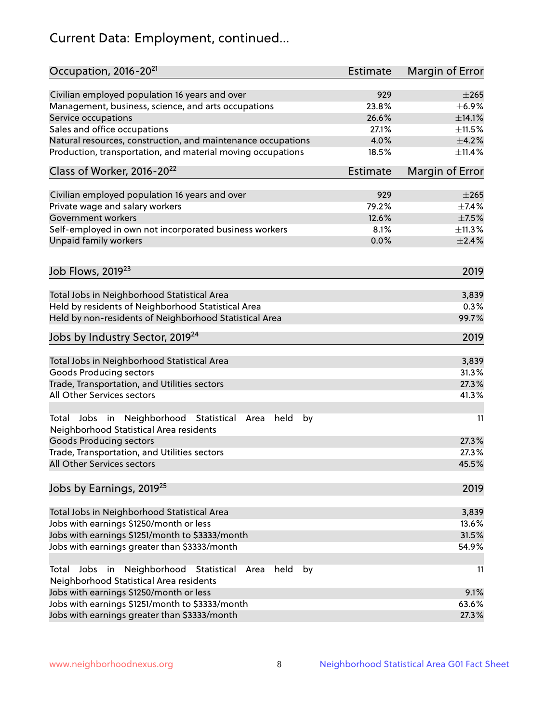# Current Data: Employment, continued...

| Occupation, 2016-20 <sup>21</sup>                                                                       | <b>Estimate</b> | Margin of Error |
|---------------------------------------------------------------------------------------------------------|-----------------|-----------------|
| Civilian employed population 16 years and over                                                          | 929             | $\pm 265$       |
| Management, business, science, and arts occupations                                                     | 23.8%           | $\pm$ 6.9%      |
| Service occupations                                                                                     | 26.6%           | ±14.1%          |
| Sales and office occupations                                                                            | 27.1%           | ±11.5%          |
| Natural resources, construction, and maintenance occupations                                            | 4.0%            | $\pm$ 4.2%      |
| Production, transportation, and material moving occupations                                             | 18.5%           | ±11.4%          |
| Class of Worker, 2016-20 <sup>22</sup>                                                                  | <b>Estimate</b> | Margin of Error |
| Civilian employed population 16 years and over                                                          | 929             | $\pm 265$       |
| Private wage and salary workers                                                                         | 79.2%           | $\pm$ 7.4%      |
| Government workers                                                                                      | 12.6%           | $\pm$ 7.5%      |
|                                                                                                         |                 |                 |
| Self-employed in own not incorporated business workers                                                  | 8.1%            | ±11.3%          |
| Unpaid family workers                                                                                   | 0.0%            | $\pm 2.4\%$     |
| Job Flows, 2019 <sup>23</sup>                                                                           |                 | 2019            |
| Total Jobs in Neighborhood Statistical Area                                                             |                 | 3,839           |
| Held by residents of Neighborhood Statistical Area                                                      |                 | 0.3%            |
| Held by non-residents of Neighborhood Statistical Area                                                  |                 | 99.7%           |
| Jobs by Industry Sector, 2019 <sup>24</sup>                                                             |                 | 2019            |
| Total Jobs in Neighborhood Statistical Area                                                             |                 | 3,839           |
| <b>Goods Producing sectors</b>                                                                          |                 | 31.3%           |
| Trade, Transportation, and Utilities sectors                                                            |                 | 27.3%           |
| All Other Services sectors                                                                              |                 | 41.3%           |
|                                                                                                         |                 |                 |
| Total Jobs in Neighborhood Statistical<br>held<br>by<br>Area<br>Neighborhood Statistical Area residents |                 | 11              |
| <b>Goods Producing sectors</b>                                                                          |                 | 27.3%           |
| Trade, Transportation, and Utilities sectors                                                            |                 | 27.3%           |
| All Other Services sectors                                                                              |                 | 45.5%           |
| Jobs by Earnings, 2019 <sup>25</sup>                                                                    |                 | 2019            |
| Total Jobs in Neighborhood Statistical Area                                                             |                 | 3,839           |
| Jobs with earnings \$1250/month or less                                                                 |                 | 13.6%           |
| Jobs with earnings \$1251/month to \$3333/month                                                         |                 | 31.5%           |
| Jobs with earnings greater than \$3333/month                                                            |                 | 54.9%           |
| Neighborhood Statistical<br>Jobs<br>in<br>Area<br>held<br>by<br>Total                                   |                 | 11              |
| Neighborhood Statistical Area residents                                                                 |                 |                 |
| Jobs with earnings \$1250/month or less                                                                 |                 | 9.1%            |
| Jobs with earnings \$1251/month to \$3333/month                                                         |                 | 63.6%           |
| Jobs with earnings greater than \$3333/month                                                            |                 | 27.3%           |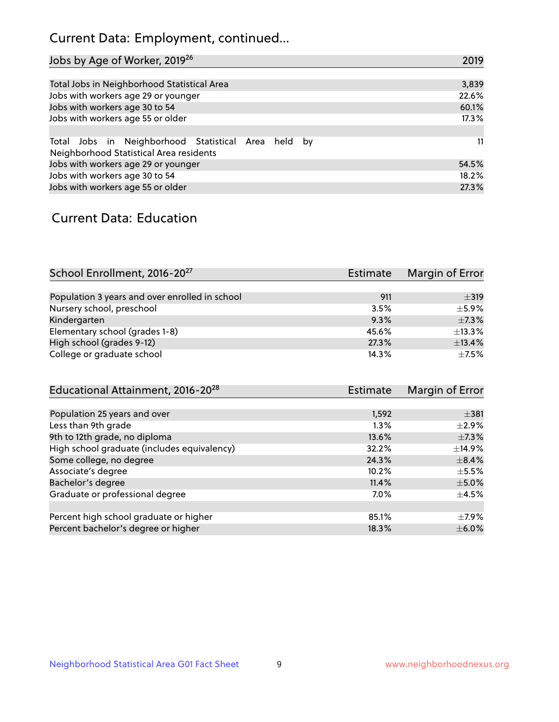# Current Data: Employment, continued...

| Jobs by Age of Worker, 2019 <sup>26</sup>                                                      | 2019  |
|------------------------------------------------------------------------------------------------|-------|
|                                                                                                |       |
| Total Jobs in Neighborhood Statistical Area                                                    | 3,839 |
| Jobs with workers age 29 or younger                                                            | 22.6% |
| Jobs with workers age 30 to 54                                                                 | 60.1% |
| Jobs with workers age 55 or older                                                              | 17.3% |
|                                                                                                |       |
| Total Jobs in Neighborhood Statistical Area held by<br>Neighborhood Statistical Area residents | 11    |
| Jobs with workers age 29 or younger                                                            | 54.5% |
| Jobs with workers age 30 to 54                                                                 | 18.2% |
| Jobs with workers age 55 or older                                                              | 27.3% |

### Current Data: Education

| School Enrollment, 2016-20 <sup>27</sup>       | Estimate | Margin of Error |
|------------------------------------------------|----------|-----------------|
|                                                |          |                 |
| Population 3 years and over enrolled in school | 911      | $\pm$ 319       |
| Nursery school, preschool                      | 3.5%     | $+5.9%$         |
| Kindergarten                                   | 9.3%     | $\pm$ 7.3%      |
| Elementary school (grades 1-8)                 | 45.6%    | ±13.3%          |
| High school (grades 9-12)                      | 27.3%    | ±13.4%          |
| College or graduate school                     | 14.3%    | $\pm$ 7.5%      |

| <b>Estimate</b> | Margin of Error |
|-----------------|-----------------|
|                 |                 |
| 1,592           | $\pm$ 381       |
| 1.3%            | $\pm 2.9\%$     |
| 13.6%           | $\pm$ 7.3%      |
| 32.2%           | $\pm$ 14.9%     |
| 24.3%           | $\pm$ 8.4%      |
| 10.2%           | $\pm$ 5.5%      |
| 11.4%           | $\pm$ 5.0%      |
| $7.0\%$         | $\pm$ 4.5%      |
|                 |                 |
| 85.1%           | $\pm$ 7.9%      |
| 18.3%           | $\pm$ 6.0%      |
|                 |                 |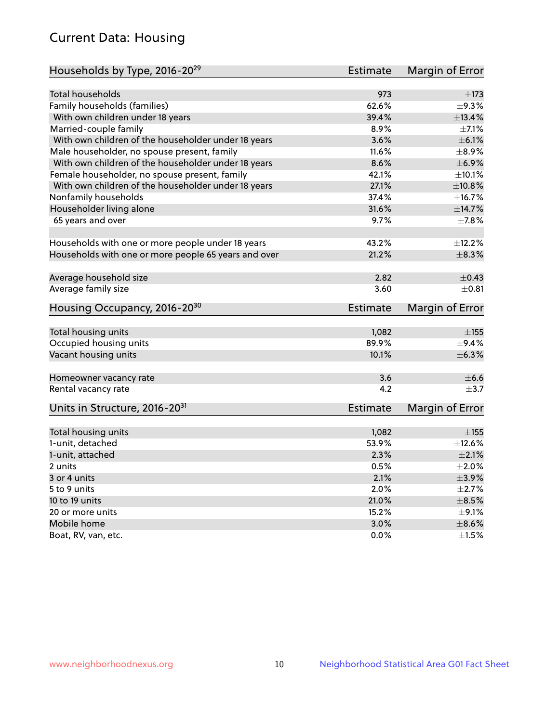# Current Data: Housing

| Households by Type, 2016-20 <sup>29</sup>            | <b>Estimate</b> | Margin of Error |
|------------------------------------------------------|-----------------|-----------------|
|                                                      |                 |                 |
| Total households                                     | 973             | $\pm$ 173       |
| Family households (families)                         | 62.6%           | ±9.3%           |
| With own children under 18 years                     | 39.4%           | ±13.4%          |
| Married-couple family                                | 8.9%            | $\pm$ 7.1%      |
| With own children of the householder under 18 years  | 3.6%            | $\pm$ 6.1%      |
| Male householder, no spouse present, family          | 11.6%           | $\pm$ 8.9%      |
| With own children of the householder under 18 years  | 8.6%            | $\pm$ 6.9%      |
| Female householder, no spouse present, family        | 42.1%           | $\pm$ 10.1%     |
| With own children of the householder under 18 years  | 27.1%           | ±10.8%          |
| Nonfamily households                                 | 37.4%           | ±16.7%          |
| Householder living alone                             | 31.6%           | ±14.7%          |
| 65 years and over                                    | 9.7%            | $\pm$ 7.8%      |
|                                                      |                 |                 |
| Households with one or more people under 18 years    | 43.2%           | ±12.2%          |
| Households with one or more people 65 years and over | 21.2%           | ±8.3%           |
|                                                      |                 |                 |
| Average household size                               | 2.82            | $\pm$ 0.43      |
| Average family size                                  | 3.60            | $\pm$ 0.81      |
| Housing Occupancy, 2016-20 <sup>30</sup>             | <b>Estimate</b> | Margin of Error |
| Total housing units                                  | 1,082           | $\pm$ 155       |
| Occupied housing units                               | 89.9%           | $\pm$ 9.4%      |
| Vacant housing units                                 | 10.1%           | ±6.3%           |
|                                                      |                 |                 |
| Homeowner vacancy rate                               | 3.6             | $\pm$ 6.6       |
| Rental vacancy rate                                  | 4.2             | $+3.7$          |
| Units in Structure, 2016-20 <sup>31</sup>            | Estimate        | Margin of Error |
|                                                      |                 |                 |
| Total housing units                                  | 1,082           | $\pm$ 155       |
| 1-unit, detached                                     | 53.9%           | $\pm$ 12.6%     |
| 1-unit, attached                                     | 2.3%            | $\pm 2.1\%$     |
| 2 units                                              | 0.5%            | $\pm 2.0\%$     |
| 3 or 4 units                                         | 2.1%            | $\pm$ 3.9%      |
| 5 to 9 units                                         | 2.0%            | $\pm 2.7\%$     |
| 10 to 19 units                                       | 21.0%           | $\pm$ 8.5%      |
| 20 or more units                                     | 15.2%           | $\pm$ 9.1%      |
| Mobile home                                          | 3.0%            | $\pm$ 8.6%      |
| Boat, RV, van, etc.                                  | $0.0\%$         | $\pm 1.5\%$     |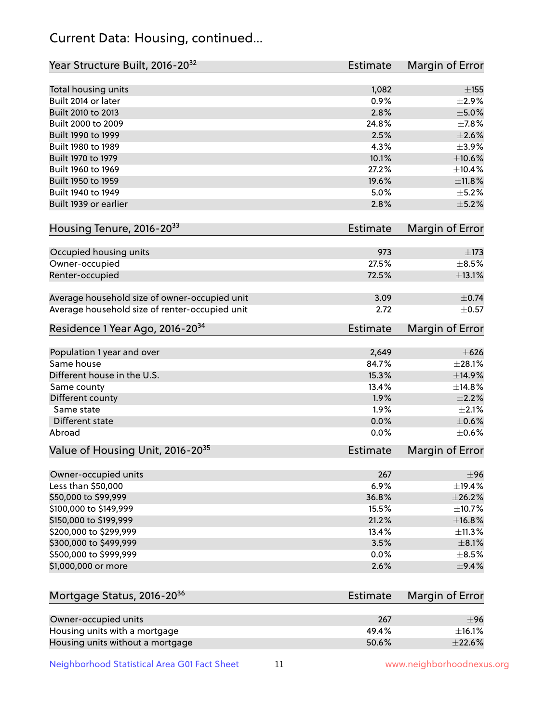# Current Data: Housing, continued...

| Year Structure Built, 2016-20 <sup>32</sup>    | <b>Estimate</b> | Margin of Error |
|------------------------------------------------|-----------------|-----------------|
| Total housing units                            | 1,082           | $\pm$ 155       |
| Built 2014 or later                            | 0.9%            | $\pm 2.9\%$     |
| Built 2010 to 2013                             | 2.8%            | $\pm$ 5.0%      |
| Built 2000 to 2009                             | 24.8%           | ±7.8%           |
| Built 1990 to 1999                             | 2.5%            | $\pm 2.6\%$     |
| Built 1980 to 1989                             | 4.3%            | $\pm$ 3.9%      |
| Built 1970 to 1979                             | 10.1%           | $\pm 10.6\%$    |
| Built 1960 to 1969                             | 27.2%           | $\pm 10.4\%$    |
| Built 1950 to 1959                             | 19.6%           | ±11.8%          |
| Built 1940 to 1949                             | 5.0%            | $\pm$ 5.2%      |
| Built 1939 or earlier                          | 2.8%            | $\pm$ 5.2%      |
| Housing Tenure, 2016-2033                      | <b>Estimate</b> | Margin of Error |
| Occupied housing units                         | 973             | $\pm 173$       |
| Owner-occupied                                 | 27.5%           | $\pm$ 8.5%      |
| Renter-occupied                                | 72.5%           | $\pm$ 13.1%     |
| Average household size of owner-occupied unit  | 3.09            | $\pm$ 0.74      |
| Average household size of renter-occupied unit | 2.72            | $\pm$ 0.57      |
| Residence 1 Year Ago, 2016-20 <sup>34</sup>    | <b>Estimate</b> | Margin of Error |
|                                                |                 |                 |
| Population 1 year and over                     | 2,649           | $\pm 626$       |
| Same house                                     | 84.7%           | ±28.1%          |
| Different house in the U.S.                    | 15.3%           | ±14.9%          |
| Same county                                    | 13.4%           | ±14.8%          |
| Different county                               | 1.9%            | $\pm 2.2\%$     |
| Same state                                     | 1.9%            | $\pm 2.1\%$     |
| Different state                                | 0.0%            | ±0.6%           |
| Abroad                                         | 0.0%            | $\pm$ 0.6%      |
| Value of Housing Unit, 2016-20 <sup>35</sup>   | <b>Estimate</b> | Margin of Error |
| Owner-occupied units                           | 267             | ±96             |
| Less than \$50,000                             | 6.9%            | $\pm$ 19.4%     |
| \$50,000 to \$99,999                           | 36.8%           | ±26.2%          |
| \$100,000 to \$149,999                         | 15.5%           | ±10.7%          |
| \$150,000 to \$199,999                         | 21.2%           | ±16.8%          |
| \$200,000 to \$299,999                         | 13.4%           | ±11.3%          |
| \$300,000 to \$499,999                         | 3.5%            | $\pm$ 8.1%      |
| \$500,000 to \$999,999                         | 0.0%            | $\pm$ 8.5%      |
| \$1,000,000 or more                            | 2.6%            | $\pm$ 9.4%      |
| Mortgage Status, 2016-20 <sup>36</sup>         | <b>Estimate</b> | Margin of Error |
|                                                |                 |                 |
| Owner-occupied units                           | 267             | ±96             |
| Housing units with a mortgage                  | 49.4%           | $\pm$ 16.1%     |
| Housing units without a mortgage               | 50.6%           | ±22.6%          |

Neighborhood Statistical Area G01 Fact Sheet 11 11 www.neighborhoodnexus.org

Housing units without a mortgage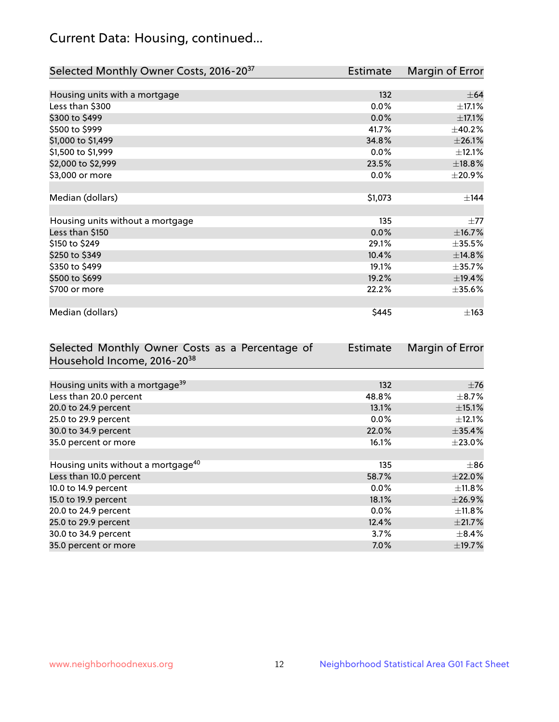# Current Data: Housing, continued...

| Selected Monthly Owner Costs, 2016-20 <sup>37</sup> | Estimate | Margin of Error |
|-----------------------------------------------------|----------|-----------------|
|                                                     |          |                 |
| Housing units with a mortgage                       | 132      | $\pm$ 64        |
| Less than \$300                                     | 0.0%     | $\pm$ 17.1%     |
| \$300 to \$499                                      | 0.0%     | $\pm$ 17.1%     |
| \$500 to \$999                                      | 41.7%    | ±40.2%          |
| \$1,000 to \$1,499                                  | 34.8%    | ±26.1%          |
| \$1,500 to \$1,999                                  | $0.0\%$  | ±12.1%          |
| \$2,000 to \$2,999                                  | 23.5%    | ±18.8%          |
| \$3,000 or more                                     | $0.0\%$  | $\pm$ 20.9%     |
|                                                     |          |                 |
| Median (dollars)                                    | \$1,073  | ±144            |
|                                                     |          |                 |
| Housing units without a mortgage                    | 135      | $\pm 77$        |
| Less than \$150                                     | 0.0%     | ±16.7%          |
| \$150 to \$249                                      | 29.1%    | $\pm$ 35.5%     |
| \$250 to \$349                                      | 10.4%    | ±14.8%          |
| \$350 to \$499                                      | 19.1%    | ±35.7%          |
| \$500 to \$699                                      | 19.2%    | ±19.4%          |
| \$700 or more                                       | 22.2%    | $\pm$ 35.6%     |
|                                                     |          |                 |
| Median (dollars)                                    | \$445    | $\pm$ 163       |

| Selected Monthly Owner Costs as a Percentage of | Estimate | Margin of Error |
|-------------------------------------------------|----------|-----------------|
| Household Income, 2016-2038                     |          |                 |
|                                                 |          |                 |
| Housing units with a mortgage <sup>39</sup>     | 132      | $\pm$ 76        |
| Less than 20.0 percent                          | 48.8%    | $\pm$ 8.7%      |
| 20.0 to 24.9 percent                            | 13.1%    | $\pm$ 15.1%     |
| 25.0 to 29.9 percent                            | $0.0\%$  | $\pm$ 12.1%     |
| 30.0 to 34.9 percent                            | 22.0%    | $\pm$ 35.4%     |
| 35.0 percent or more                            | 16.1%    | $\pm 23.0\%$    |
|                                                 |          |                 |
| Housing units without a mortgage <sup>40</sup>  | 135      | $\pm 86$        |
| Less than 10.0 percent                          | 58.7%    | $\pm 22.0\%$    |
| 10.0 to 14.9 percent                            | $0.0\%$  | $\pm$ 11.8%     |
| 15.0 to 19.9 percent                            | 18.1%    | ±26.9%          |
| 20.0 to 24.9 percent                            | $0.0\%$  | $\pm$ 11.8%     |
| 25.0 to 29.9 percent                            | 12.4%    | ±21.7%          |
| 30.0 to 34.9 percent                            | $3.7\%$  | $\pm$ 8.4%      |
| 35.0 percent or more                            | $7.0\%$  | ±19.7%          |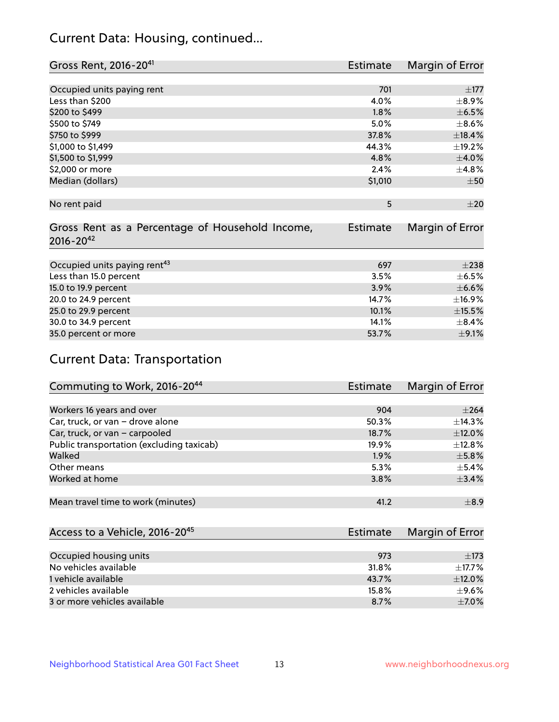# Current Data: Housing, continued...

| Gross Rent, 2016-20 <sup>41</sup>                                   | Estimate        | Margin of Error |
|---------------------------------------------------------------------|-----------------|-----------------|
|                                                                     |                 |                 |
| Occupied units paying rent                                          | 701             | $\pm$ 177       |
| Less than \$200                                                     | 4.0%            | $\pm$ 8.9%      |
| \$200 to \$499                                                      | 1.8%            | $\pm$ 6.5%      |
| \$500 to \$749                                                      | 5.0%            | $\pm$ 8.6%      |
| \$750 to \$999                                                      | 37.8%           | ±18.4%          |
| \$1,000 to \$1,499                                                  | 44.3%           | ±19.2%          |
| \$1,500 to \$1,999                                                  | 4.8%            | $\pm 4.0\%$     |
| \$2,000 or more                                                     | 2.4%            | ±4.8%           |
| Median (dollars)                                                    | \$1,010         | ±50             |
| No rent paid                                                        | 5               | $\pm 20$        |
|                                                                     |                 |                 |
| Gross Rent as a Percentage of Household Income,<br>$2016 - 20^{42}$ | <b>Estimate</b> | Margin of Error |
| Occupied units paying rent <sup>43</sup>                            | 697             | $\pm 238$       |
| Less than 15.0 percent                                              | 3.5%            | $\pm$ 6.5%      |
| 15.0 to 19.9 percent                                                | 3.9%            | $\pm$ 6.6%      |
|                                                                     |                 |                 |
| 20.0 to 24.9 percent                                                | 14.7%           | ±16.9%          |
| 25.0 to 29.9 percent                                                | 10.1%           | ±15.5%          |
| 30.0 to 34.9 percent                                                | 14.1%           | $\pm$ 8.4%      |
| 35.0 percent or more                                                | 53.7%           | $\pm$ 9.1%      |

# Current Data: Transportation

| Commuting to Work, 2016-20 <sup>44</sup>  | Estimate | Margin of Error |
|-------------------------------------------|----------|-----------------|
|                                           |          |                 |
| Workers 16 years and over                 | 904      | $\pm 264$       |
| Car, truck, or van - drove alone          | 50.3%    | $\pm$ 14.3%     |
| Car, truck, or van - carpooled            | 18.7%    | $\pm$ 12.0%     |
| Public transportation (excluding taxicab) | 19.9%    | $\pm$ 12.8%     |
| Walked                                    | 1.9%     | $\pm$ 5.8%      |
| Other means                               | 5.3%     | $\pm$ 5.4%      |
| Worked at home                            | 3.8%     | ±3.4%           |
|                                           |          |                 |
| Mean travel time to work (minutes)        | 41.2     | $\pm$ 8.9       |

| Access to a Vehicle, 2016-20 <sup>45</sup> | Estimate | Margin of Error |
|--------------------------------------------|----------|-----------------|
|                                            |          |                 |
| Occupied housing units                     | 973      | $\pm$ 173       |
| No vehicles available                      | 31.8%    | $\pm$ 17.7%     |
| 1 vehicle available                        | 43.7%    | $\pm$ 12.0%     |
| 2 vehicles available                       | 15.8%    | $\pm$ 9.6%      |
| 3 or more vehicles available               | 8.7%     | $+7.0%$         |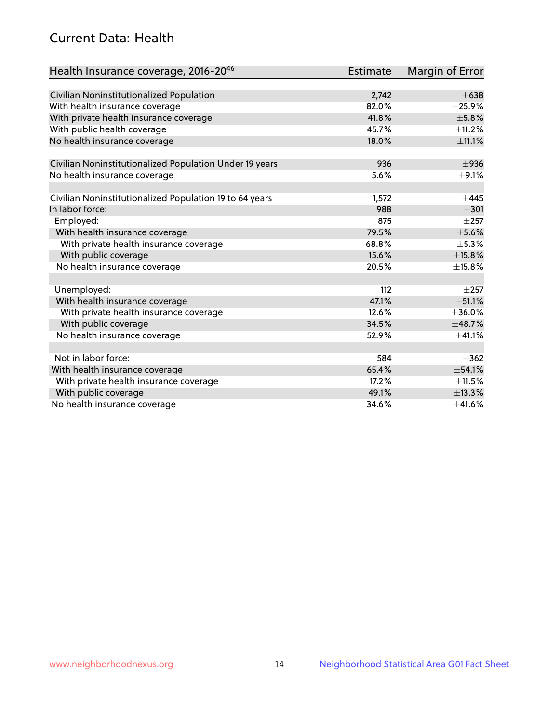# Current Data: Health

| Health Insurance coverage, 2016-2046                    | Estimate | <b>Margin of Error</b> |
|---------------------------------------------------------|----------|------------------------|
|                                                         |          |                        |
| Civilian Noninstitutionalized Population                | 2,742    | $\pm 638$              |
| With health insurance coverage                          | 82.0%    | $\pm$ 25.9%            |
| With private health insurance coverage                  | 41.8%    | ±5.8%                  |
| With public health coverage                             | 45.7%    | $\pm$ 11.2%            |
| No health insurance coverage                            | 18.0%    | ±11.1%                 |
| Civilian Noninstitutionalized Population Under 19 years | 936      | $\pm$ 936              |
| No health insurance coverage                            | 5.6%     | $\pm$ 9.1%             |
|                                                         |          |                        |
| Civilian Noninstitutionalized Population 19 to 64 years | 1,572    | $+445$                 |
| In labor force:                                         | 988      | $\pm 301$              |
| Employed:                                               | 875      | $\pm 257$              |
| With health insurance coverage                          | 79.5%    | $\pm$ 5.6%             |
| With private health insurance coverage                  | 68.8%    | $\pm$ 5.3%             |
| With public coverage                                    | 15.6%    | ±15.8%                 |
| No health insurance coverage                            | 20.5%    | ±15.8%                 |
|                                                         |          |                        |
| Unemployed:                                             | 112      | $+257$                 |
| With health insurance coverage                          | 47.1%    | ±51.1%                 |
| With private health insurance coverage                  | 12.6%    | ±36.0%                 |
| With public coverage                                    | 34.5%    | ±48.7%                 |
| No health insurance coverage                            | 52.9%    | ±41.1%                 |
|                                                         |          |                        |
| Not in labor force:                                     | 584      | $+362$                 |
| With health insurance coverage                          | 65.4%    | ±54.1%                 |
| With private health insurance coverage                  | 17.2%    | $\pm$ 11.5%            |
| With public coverage                                    | 49.1%    | ±13.3%                 |
| No health insurance coverage                            | 34.6%    | $\pm$ 41.6%            |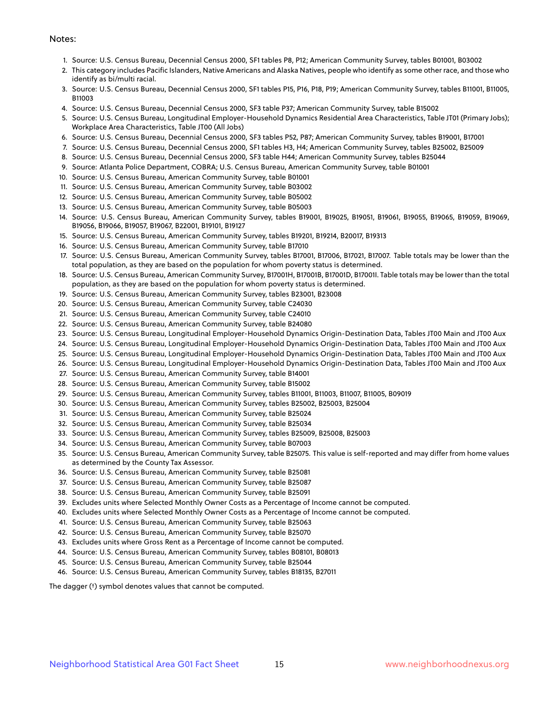#### Notes:

- 1. Source: U.S. Census Bureau, Decennial Census 2000, SF1 tables P8, P12; American Community Survey, tables B01001, B03002
- 2. This category includes Pacific Islanders, Native Americans and Alaska Natives, people who identify as some other race, and those who identify as bi/multi racial.
- 3. Source: U.S. Census Bureau, Decennial Census 2000, SF1 tables P15, P16, P18, P19; American Community Survey, tables B11001, B11005, B11003
- 4. Source: U.S. Census Bureau, Decennial Census 2000, SF3 table P37; American Community Survey, table B15002
- 5. Source: U.S. Census Bureau, Longitudinal Employer-Household Dynamics Residential Area Characteristics, Table JT01 (Primary Jobs); Workplace Area Characteristics, Table JT00 (All Jobs)
- 6. Source: U.S. Census Bureau, Decennial Census 2000, SF3 tables P52, P87; American Community Survey, tables B19001, B17001
- 7. Source: U.S. Census Bureau, Decennial Census 2000, SF1 tables H3, H4; American Community Survey, tables B25002, B25009
- 8. Source: U.S. Census Bureau, Decennial Census 2000, SF3 table H44; American Community Survey, tables B25044
- 9. Source: Atlanta Police Department, COBRA; U.S. Census Bureau, American Community Survey, table B01001
- 10. Source: U.S. Census Bureau, American Community Survey, table B01001
- 11. Source: U.S. Census Bureau, American Community Survey, table B03002
- 12. Source: U.S. Census Bureau, American Community Survey, table B05002
- 13. Source: U.S. Census Bureau, American Community Survey, table B05003
- 14. Source: U.S. Census Bureau, American Community Survey, tables B19001, B19025, B19051, B19061, B19055, B19065, B19059, B19069, B19056, B19066, B19057, B19067, B22001, B19101, B19127
- 15. Source: U.S. Census Bureau, American Community Survey, tables B19201, B19214, B20017, B19313
- 16. Source: U.S. Census Bureau, American Community Survey, table B17010
- 17. Source: U.S. Census Bureau, American Community Survey, tables B17001, B17006, B17021, B17007. Table totals may be lower than the total population, as they are based on the population for whom poverty status is determined.
- 18. Source: U.S. Census Bureau, American Community Survey, B17001H, B17001B, B17001D, B17001I. Table totals may be lower than the total population, as they are based on the population for whom poverty status is determined.
- 19. Source: U.S. Census Bureau, American Community Survey, tables B23001, B23008
- 20. Source: U.S. Census Bureau, American Community Survey, table C24030
- 21. Source: U.S. Census Bureau, American Community Survey, table C24010
- 22. Source: U.S. Census Bureau, American Community Survey, table B24080
- 23. Source: U.S. Census Bureau, Longitudinal Employer-Household Dynamics Origin-Destination Data, Tables JT00 Main and JT00 Aux
- 24. Source: U.S. Census Bureau, Longitudinal Employer-Household Dynamics Origin-Destination Data, Tables JT00 Main and JT00 Aux
- 25. Source: U.S. Census Bureau, Longitudinal Employer-Household Dynamics Origin-Destination Data, Tables JT00 Main and JT00 Aux
- 26. Source: U.S. Census Bureau, Longitudinal Employer-Household Dynamics Origin-Destination Data, Tables JT00 Main and JT00 Aux
- 27. Source: U.S. Census Bureau, American Community Survey, table B14001
- 28. Source: U.S. Census Bureau, American Community Survey, table B15002
- 29. Source: U.S. Census Bureau, American Community Survey, tables B11001, B11003, B11007, B11005, B09019
- 30. Source: U.S. Census Bureau, American Community Survey, tables B25002, B25003, B25004
- 31. Source: U.S. Census Bureau, American Community Survey, table B25024
- 32. Source: U.S. Census Bureau, American Community Survey, table B25034
- 33. Source: U.S. Census Bureau, American Community Survey, tables B25009, B25008, B25003
- 34. Source: U.S. Census Bureau, American Community Survey, table B07003
- 35. Source: U.S. Census Bureau, American Community Survey, table B25075. This value is self-reported and may differ from home values as determined by the County Tax Assessor.
- 36. Source: U.S. Census Bureau, American Community Survey, table B25081
- 37. Source: U.S. Census Bureau, American Community Survey, table B25087
- 38. Source: U.S. Census Bureau, American Community Survey, table B25091
- 39. Excludes units where Selected Monthly Owner Costs as a Percentage of Income cannot be computed.
- 40. Excludes units where Selected Monthly Owner Costs as a Percentage of Income cannot be computed.
- 41. Source: U.S. Census Bureau, American Community Survey, table B25063
- 42. Source: U.S. Census Bureau, American Community Survey, table B25070
- 43. Excludes units where Gross Rent as a Percentage of Income cannot be computed.
- 44. Source: U.S. Census Bureau, American Community Survey, tables B08101, B08013
- 45. Source: U.S. Census Bureau, American Community Survey, table B25044
- 46. Source: U.S. Census Bureau, American Community Survey, tables B18135, B27011

The dagger (†) symbol denotes values that cannot be computed.